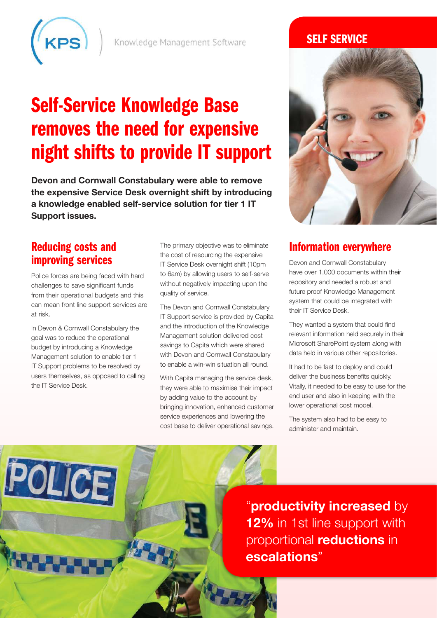

Knowledge Management Software

# Self-Service Knowledge Base removes the need for expensive night shifts to provide IT support

**Devon and Cornwall Constabulary were able to remove the expensive Service Desk overnight shift by introducing a knowledge enabled self-service solution for tier 1 IT Support issues.**

# Reducing costs and improving services

Police forces are being faced with hard challenges to save significant funds from their operational budgets and this can mean front line support services are at risk.

In Devon & Cornwall Constabulary the goal was to reduce the operational budget by introducing a Knowledge Management solution to enable tier 1 IT Support problems to be resolved by users themselves, as opposed to calling the IT Service Desk.

POLICE

The primary objective was to eliminate the cost of resourcing the expensive IT Service Desk overnight shift (10pm to 6am) by allowing users to self-serve without negatively impacting upon the quality of service.

The Devon and Cornwall Constabulary IT Support service is provided by Capita and the introduction of the Knowledge Management solution delivered cost savings to Capita which were shared with Devon and Cornwall Constabulary to enable a win-win situation all round.

With Capita managing the service desk, they were able to maximise their impact by adding value to the account by bringing innovation, enhanced customer service experiences and lowering the cost base to deliver operational savings.

## **SELF SERVICE**



### Information everywhere

Devon and Cornwall Constabulary have over 1,000 documents within their repository and needed a robust and future proof Knowledge Management system that could be integrated with their IT Service Desk.

They wanted a system that could find relevant information held securely in their Microsoft SharePoint system along with data held in various other repositories.

It had to be fast to deploy and could deliver the business benefits quickly. Vitally, it needed to be easy to use for the end user and also in keeping with the lower operational cost model.

The system also had to be easy to administer and maintain.

"**productivity increased** by **12%** in 1st line support with proportional **reductions** in **escalations**"